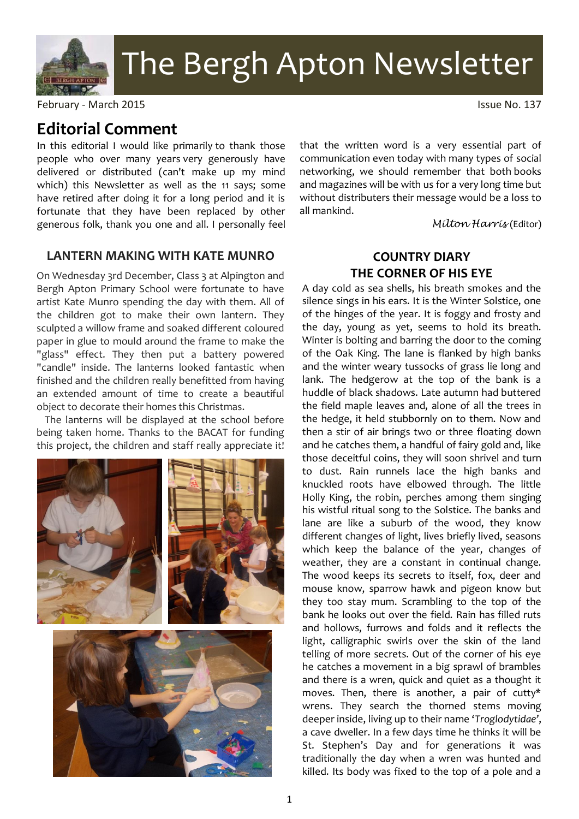

# The Bergh Apton Newsletter

February - March 2015 **Issue No. 137** 

# **Editorial Comment**

In this editorial I would like primarily to thank those people who over many years very generously have delivered or distributed (can't make up my mind which) this Newsletter as well as the 11 says; some have retired after doing it for a long period and it is fortunate that they have been replaced by other generous folk, thank you one and all. I personally feel

### **LANTERN MAKING WITH KATE MUNRO**

On Wednesday 3rd December, Class 3 at Alpington and Bergh Apton Primary School were fortunate to have artist Kate Munro spending the day with them. All of the children got to make their own lantern. They sculpted a willow frame and soaked different coloured paper in glue to mould around the frame to make the "glass" effect. They then put a battery powered "candle" inside. The lanterns looked fantastic when finished and the children really benefitted from having an extended amount of time to create a beautiful object to decorate their homes this Christmas.

The lanterns will be displayed at the school before being taken home. Thanks to the BACAT for funding this project, the children and staff really appreciate it!



that the written word is a very essential part of communication even today with many types of social networking, we should remember that both books and magazines will be with us for a very long time but without distributers their message would be a loss to all mankind.

*Milton Harris* (Editor)

## **COUNTRY DIARY THE CORNER OF HIS EYE**

A day cold as sea shells, his breath smokes and the silence sings in his ears. It is the Winter Solstice, one of the hinges of the year. It is foggy and frosty and the day, young as yet, seems to hold its breath. Winter is bolting and barring the door to the coming of the Oak King. The lane is flanked by high banks and the winter weary tussocks of grass lie long and lank. The hedgerow at the top of the bank is a huddle of black shadows. Late autumn had buttered the field maple leaves and, alone of all the trees in the hedge, it held stubbornly on to them. Now and then a stir of air brings two or three floating down and he catches them, a handful of fairy gold and, like those deceitful coins, they will soon shrivel and turn to dust. Rain runnels lace the high banks and knuckled roots have elbowed through. The little Holly King, the robin, perches among them singing his wistful ritual song to the Solstice. The banks and lane are like a suburb of the wood, they know different changes of light, lives briefly lived, seasons which keep the balance of the year, changes of weather, they are a constant in continual change. The wood keeps its secrets to itself, fox, deer and mouse know, sparrow hawk and pigeon know but they too stay mum. Scrambling to the top of the bank he looks out over the field. Rain has filled ruts and hollows, furrows and folds and it reflects the light, calligraphic swirls over the skin of the land telling of more secrets. Out of the corner of his eye he catches a movement in a big sprawl of brambles and there is a wren, quick and quiet as a thought it moves. Then, there is another, a pair of cutty\* wrens. They search the thorned stems moving deeper inside, living up to their name '*Troglodytidae'*, a cave dweller. In a few days time he thinks it will be St. Stephen's Day and for generations it was traditionally the day when a wren was hunted and killed. Its body was fixed to the top of a pole and a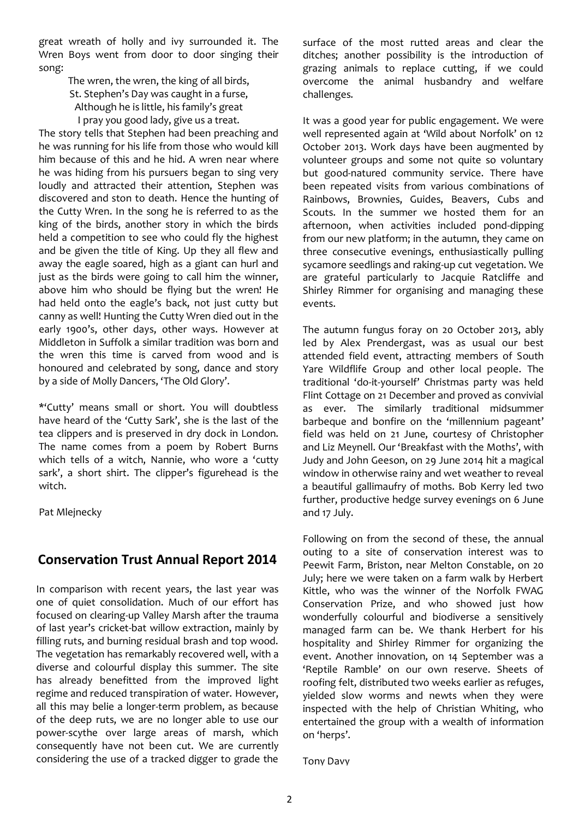great wreath of holly and ivy surrounded it. The Wren Boys went from door to door singing their song:

> The wren, the wren, the king of all birds, St. Stephen's Day was caught in a furse, Although he is little, his family's great I pray you good lady, give us a treat.

The story tells that Stephen had been preaching and he was running for his life from those who would kill him because of this and he hid. A wren near where he was hiding from his pursuers began to sing very loudly and attracted their attention, Stephen was discovered and ston to death. Hence the hunting of the Cutty Wren. In the song he is referred to as the king of the birds, another story in which the birds held a competition to see who could fly the highest and be given the title of King. Up they all flew and away the eagle soared, high as a giant can hurl and just as the birds were going to call him the winner, above him who should be flying but the wren! He had held onto the eagle's back, not just cutty but canny as well! Hunting the Cutty Wren died out in the early 1900's, other days, other ways. However at Middleton in Suffolk a similar tradition was born and the wren this time is carved from wood and is honoured and celebrated by song, dance and story by a side of Molly Dancers, 'The Old Glory'.

\*'Cutty' means small or short. You will doubtless have heard of the 'Cutty Sark', she is the last of the tea clippers and is preserved in dry dock in London. The name comes from a poem by Robert Burns which tells of a witch, Nannie, who wore a 'cutty sark', a short shirt. The clipper's figurehead is the witch.

Pat Mlejnecky

## **Conservation Trust Annual Report 2014**

In comparison with recent years, the last year was one of quiet consolidation. Much of our effort has focused on clearing-up Valley Marsh after the trauma of last year's cricket-bat willow extraction, mainly by filling ruts, and burning residual brash and top wood. The vegetation has remarkably recovered well, with a diverse and colourful display this summer. The site has already benefitted from the improved light regime and reduced transpiration of water. However, all this may belie a longer-term problem, as because of the deep ruts, we are no longer able to use our power-scythe over large areas of marsh, which consequently have not been cut. We are currently considering the use of a tracked digger to grade the

surface of the most rutted areas and clear the ditches; another possibility is the introduction of grazing animals to replace cutting, if we could overcome the animal husbandry and welfare challenges.

It was a good year for public engagement. We were well represented again at 'Wild about Norfolk' on 12 October 2013. Work days have been augmented by volunteer groups and some not quite so voluntary but good-natured community service. There have been repeated visits from various combinations of Rainbows, Brownies, Guides, Beavers, Cubs and Scouts. In the summer we hosted them for an afternoon, when activities included pond-dipping from our new platform; in the autumn, they came on three consecutive evenings, enthusiastically pulling sycamore seedlings and raking-up cut vegetation. We are grateful particularly to Jacquie Ratcliffe and Shirley Rimmer for organising and managing these events.

The autumn fungus foray on 20 October 2013, ably led by Alex Prendergast, was as usual our best attended field event, attracting members of South Yare Wildflife Group and other local people. The traditional 'do-it-yourself' Christmas party was held Flint Cottage on 21 December and proved as convivial as ever. The similarly traditional midsummer barbeque and bonfire on the 'millennium pageant' field was held on 21 June, courtesy of Christopher and Liz Meynell. Our 'Breakfast with the Moths', with Judy and John Geeson, on 29 June 2014 hit a magical window in otherwise rainy and wet weather to reveal a beautiful gallimaufry of moths. Bob Kerry led two further, productive hedge survey evenings on 6 June and 17 July.

Following on from the second of these, the annual outing to a site of conservation interest was to Peewit Farm, Briston, near Melton Constable, on 20 July; here we were taken on a farm walk by Herbert Kittle, who was the winner of the Norfolk FWAG Conservation Prize, and who showed just how wonderfully colourful and biodiverse a sensitively managed farm can be. We thank Herbert for his hospitality and Shirley Rimmer for organizing the event. Another innovation, on 14 September was a 'Reptile Ramble' on our own reserve. Sheets of roofing felt, distributed two weeks earlier as refuges, yielded slow worms and newts when they were inspected with the help of Christian Whiting, who entertained the group with a wealth of information on 'herps'.

Tony Davy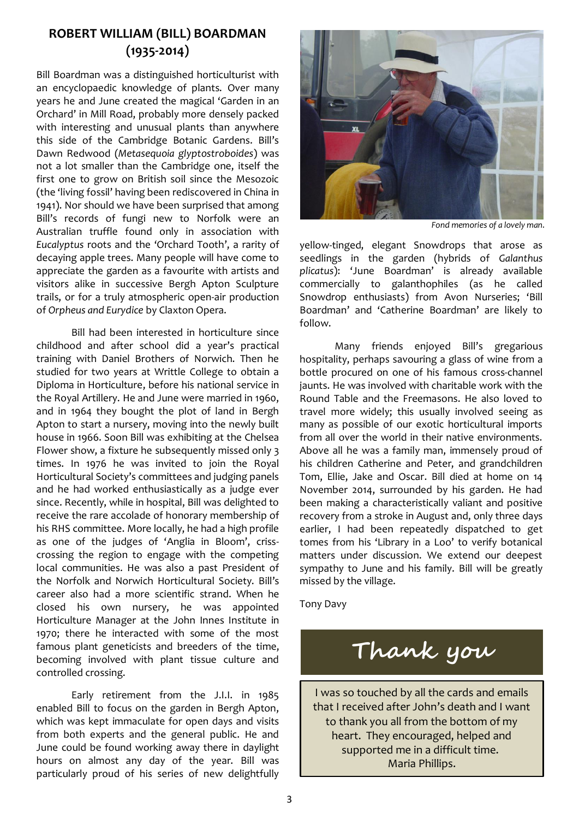## **ROBERT WILLIAM (BILL) BOARDMAN (1935-2014)**

Bill Boardman was a distinguished horticulturist with an encyclopaedic knowledge of plants. Over many years he and June created the magical 'Garden in an Orchard' in Mill Road, probably more densely packed with interesting and unusual plants than anywhere this side of the Cambridge Botanic Gardens. Bill's Dawn Redwood (*Metasequoia glyptostroboides*) was not a lot smaller than the Cambridge one, itself the first one to grow on British soil since the Mesozoic (the 'living fossil' having been rediscovered in China in 1941). Nor should we have been surprised that among Bill's records of fungi new to Norfolk were an Australian truffle found only in association with *Eucalyptus* roots and the 'Orchard Tooth', a rarity of decaying apple trees. Many people will have come to appreciate the garden as a favourite with artists and visitors alike in successive Bergh Apton Sculpture trails, or for a truly atmospheric open-air production of *Orpheus and Eurydice* by Claxton Opera.

Bill had been interested in horticulture since childhood and after school did a year's practical training with Daniel Brothers of Norwich. Then he studied for two years at Writtle College to obtain a Diploma in Horticulture, before his national service in the Royal Artillery. He and June were married in 1960, and in 1964 they bought the plot of land in Bergh Apton to start a nursery, moving into the newly built house in 1966. Soon Bill was exhibiting at the Chelsea Flower show, a fixture he subsequently missed only 3 times. In 1976 he was invited to join the Royal Horticultural Society's committees and judging panels and he had worked enthusiastically as a judge ever since. Recently, while in hospital, Bill was delighted to receive the rare accolade of honorary membership of his RHS committee. More locally, he had a high profile as one of the judges of 'Anglia in Bloom', crisscrossing the region to engage with the competing local communities. He was also a past President of the Norfolk and Norwich Horticultural Society. Bill's career also had a more scientific strand. When he closed his own nursery, he was appointed Horticulture Manager at the John Innes Institute in 1970; there he interacted with some of the most famous plant geneticists and breeders of the time, becoming involved with plant tissue culture and controlled crossing.

Early retirement from the J.I.I. in 1985 enabled Bill to focus on the garden in Bergh Apton, which was kept immaculate for open days and visits from both experts and the general public. He and June could be found working away there in daylight hours on almost any day of the year. Bill was particularly proud of his series of new delightfully



*Fond memories of a lovely man.*

yellow-tinged, elegant Snowdrops that arose as seedlings in the garden (hybrids of *Galanthus plicatus*): 'June Boardman' is already available commercially to galanthophiles (as he called Snowdrop enthusiasts) from Avon Nurseries; 'Bill Boardman' and 'Catherine Boardman' are likely to follow.

Many friends enjoyed Bill's gregarious hospitality, perhaps savouring a glass of wine from a bottle procured on one of his famous cross-channel jaunts. He was involved with charitable work with the Round Table and the Freemasons. He also loved to travel more widely; this usually involved seeing as many as possible of our exotic horticultural imports from all over the world in their native environments. Above all he was a family man, immensely proud of his children Catherine and Peter, and grandchildren Tom, Ellie, Jake and Oscar. Bill died at home on 14 November 2014, surrounded by his garden. He had been making a characteristically valiant and positive recovery from a stroke in August and, only three days earlier, I had been repeatedly dispatched to get tomes from his 'Library in a Loo' to verify botanical matters under discussion. We extend our deepest sympathy to June and his family. Bill will be greatly missed by the village.

Tony Davy

**Thank you**

I was so touched by all the cards and emails that I received after John's death and I want to thank you all from the bottom of my heart. They encouraged, helped and supported me in a difficult time. Maria Phillips.